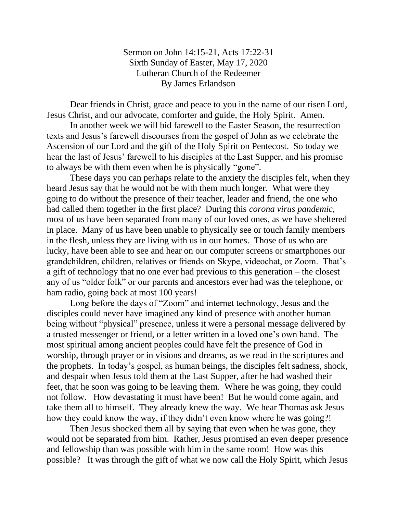Sermon on John 14:15-21, Acts 17:22-31 Sixth Sunday of Easter, May 17, 2020 Lutheran Church of the Redeemer By James Erlandson

Dear friends in Christ, grace and peace to you in the name of our risen Lord, Jesus Christ, and our advocate, comforter and guide, the Holy Spirit. Amen.

In another week we will bid farewell to the Easter Season, the resurrection texts and Jesus's farewell discourses from the gospel of John as we celebrate the Ascension of our Lord and the gift of the Holy Spirit on Pentecost. So today we hear the last of Jesus' farewell to his disciples at the Last Supper, and his promise to always be with them even when he is physically "gone".

These days you can perhaps relate to the anxiety the disciples felt, when they heard Jesus say that he would not be with them much longer. What were they going to do without the presence of their teacher, leader and friend, the one who had called them together in the first place? During this *corona virus pandemic,* most of us have been separated from many of our loved ones, as we have sheltered in place. Many of us have been unable to physically see or touch family members in the flesh, unless they are living with us in our homes. Those of us who are lucky, have been able to see and hear on our computer screens or smartphones our grandchildren, children, relatives or friends on Skype, videochat, or Zoom. That's a gift of technology that no one ever had previous to this generation – the closest any of us "older folk" or our parents and ancestors ever had was the telephone, or ham radio, going back at most 100 years!

Long before the days of "Zoom" and internet technology, Jesus and the disciples could never have imagined any kind of presence with another human being without "physical" presence, unless it were a personal message delivered by a trusted messenger or friend, or a letter written in a loved one's own hand. The most spiritual among ancient peoples could have felt the presence of God in worship, through prayer or in visions and dreams, as we read in the scriptures and the prophets. In today's gospel, as human beings, the disciples felt sadness, shock, and despair when Jesus told them at the Last Supper, after he had washed their feet, that he soon was going to be leaving them. Where he was going, they could not follow. How devastating it must have been! But he would come again, and take them all to himself. They already knew the way. We hear Thomas ask Jesus how they could know the way, if they didn't even know where he was going?!

Then Jesus shocked them all by saying that even when he was gone, they would not be separated from him. Rather, Jesus promised an even deeper presence and fellowship than was possible with him in the same room! How was this possible? It was through the gift of what we now call the Holy Spirit, which Jesus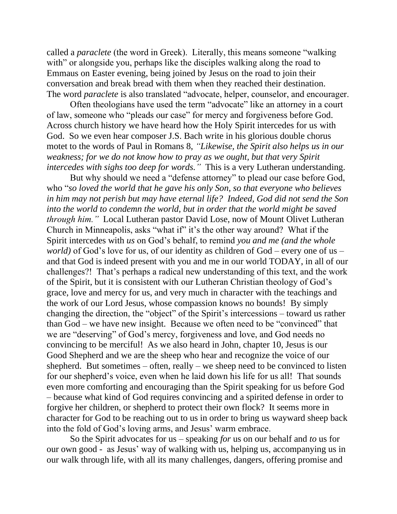called a *paraclete* (the word in Greek). Literally, this means someone "walking with" or alongside you, perhaps like the disciples walking along the road to Emmaus on Easter evening, being joined by Jesus on the road to join their conversation and break bread with them when they reached their destination. The word *paraclete* is also translated "advocate, helper, counselor, and encourager.

Often theologians have used the term "advocate" like an attorney in a court of law, someone who "pleads our case" for mercy and forgiveness before God. Across church history we have heard how the Holy Spirit intercedes for us with God. So we even hear composer J.S. Bach write in his glorious double chorus motet to the words of Paul in Romans 8, *"Likewise, the Spirit also helps us in our weakness; for we do not know how to pray as we ought, but that very Spirit intercedes with sighs too deep for words."* This is a very Lutheran understanding.

But why should we need a "defense attorney" to plead our case before God, who "*so loved the world that he gave his only Son, so that everyone who believes in him may not perish but may have eternal life? Indeed, God did not send the Son into the world to condemn the world, but in order that the world might be saved through him."* Local Lutheran pastor David Lose, now of Mount Olivet Lutheran Church in Minneapolis, asks "what if" it's the other way around? What if the Spirit intercedes with *us* on God's behalf, to remind *you and me (and the whole world)* of God's love for us, of our identity as children of God – every one of us – and that God is indeed present with you and me in our world TODAY, in all of our challenges?! That's perhaps a radical new understanding of this text, and the work of the Spirit, but it is consistent with our Lutheran Christian theology of God's grace, love and mercy for us, and very much in character with the teachings and the work of our Lord Jesus, whose compassion knows no bounds! By simply changing the direction, the "object" of the Spirit's intercessions – toward us rather than God – we have new insight. Because we often need to be "convinced" that we are "deserving" of God's mercy, forgiveness and love, and God needs no convincing to be merciful! As we also heard in John, chapter 10, Jesus is our Good Shepherd and we are the sheep who hear and recognize the voice of our shepherd. But sometimes  $-$  often, really  $-$  we sheep need to be convinced to listen for our shepherd's voice, even when he laid down his life for us all! That sounds even more comforting and encouraging than the Spirit speaking for us before God – because what kind of God requires convincing and a spirited defense in order to forgive her children, or shepherd to protect their own flock? It seems more in character for God to be reaching out to us in order to bring us wayward sheep back into the fold of God's loving arms, and Jesus' warm embrace.

So the Spirit advocates for us – speaking *for* us on our behalf and *to* us for our own good - as Jesus' way of walking with us, helping us, accompanying us in our walk through life, with all its many challenges, dangers, offering promise and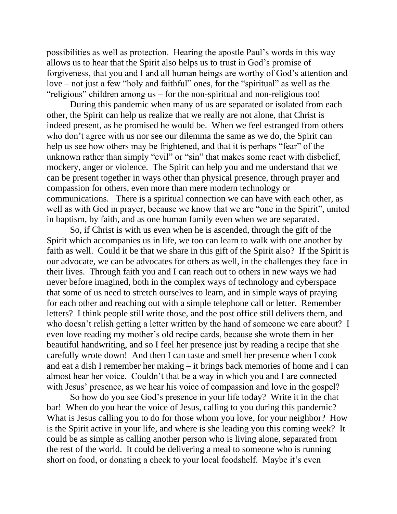possibilities as well as protection. Hearing the apostle Paul's words in this way allows us to hear that the Spirit also helps us to trust in God's promise of forgiveness, that you and I and all human beings are worthy of God's attention and love – not just a few "holy and faithful" ones, for the "spiritual" as well as the "religious" children among us – for the non-spiritual and non-religious too!

During this pandemic when many of us are separated or isolated from each other, the Spirit can help us realize that we really are not alone, that Christ is indeed present, as he promised he would be. When we feel estranged from others who don't agree with us nor see our dilemma the same as we do, the Spirit can help us see how others may be frightened, and that it is perhaps "fear" of the unknown rather than simply "evil" or "sin" that makes some react with disbelief, mockery, anger or violence. The Spirit can help you and me understand that we can be present together in ways other than physical presence, through prayer and compassion for others, even more than mere modern technology or communications. There is a spiritual connection we can have with each other, as well as with God in prayer, because we know that we are "one in the Spirit", united in baptism, by faith, and as one human family even when we are separated.

So, if Christ is with us even when he is ascended, through the gift of the Spirit which accompanies us in life, we too can learn to walk with one another by faith as well. Could it be that we share in this gift of the Spirit also? If the Spirit is our advocate, we can be advocates for others as well, in the challenges they face in their lives. Through faith you and I can reach out to others in new ways we had never before imagined, both in the complex ways of technology and cyberspace that some of us need to stretch ourselves to learn, and in simple ways of praying for each other and reaching out with a simple telephone call or letter. Remember letters? I think people still write those, and the post office still delivers them, and who doesn't relish getting a letter written by the hand of someone we care about? I even love reading my mother's old recipe cards, because she wrote them in her beautiful handwriting, and so I feel her presence just by reading a recipe that she carefully wrote down! And then I can taste and smell her presence when I cook and eat a dish I remember her making – it brings back memories of home and I can almost hear her voice. Couldn't that be a way in which you and I are connected with Jesus' presence, as we hear his voice of compassion and love in the gospel?

So how do you see God's presence in your life today? Write it in the chat bar! When do you hear the voice of Jesus, calling to you during this pandemic? What is Jesus calling you to do for those whom you love, for your neighbor? How is the Spirit active in your life, and where is she leading you this coming week? It could be as simple as calling another person who is living alone, separated from the rest of the world. It could be delivering a meal to someone who is running short on food, or donating a check to your local foodshelf. Maybe it's even